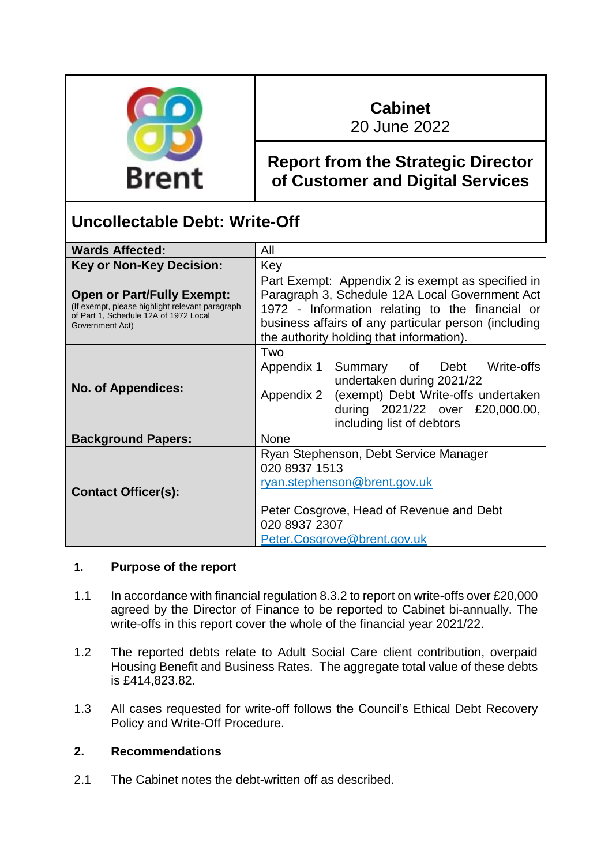

# **Cabinet**

20 June 2022

# **Report from the Strategic Director of Customer and Digital Services**

# **Uncollectable Debt: Write-Off**

| <b>Wards Affected:</b>                                                                                                                           | All                                                                                                                                                                                                                                                        |
|--------------------------------------------------------------------------------------------------------------------------------------------------|------------------------------------------------------------------------------------------------------------------------------------------------------------------------------------------------------------------------------------------------------------|
| <b>Key or Non-Key Decision:</b>                                                                                                                  | Key                                                                                                                                                                                                                                                        |
| <b>Open or Part/Fully Exempt:</b><br>(If exempt, please highlight relevant paragraph<br>of Part 1, Schedule 12A of 1972 Local<br>Government Act) | Part Exempt: Appendix 2 is exempt as specified in<br>Paragraph 3, Schedule 12A Local Government Act<br>1972 - Information relating to the financial or<br>business affairs of any particular person (including<br>the authority holding that information). |
| <b>No. of Appendices:</b>                                                                                                                        | Two<br>Appendix 1 Summary of Debt Write-offs<br>undertaken during 2021/22<br>Appendix 2 (exempt) Debt Write-offs undertaken<br>during 2021/22 over £20,000.00,<br>including list of debtors                                                                |
| <b>Background Papers:</b>                                                                                                                        | <b>None</b>                                                                                                                                                                                                                                                |
| <b>Contact Officer(s):</b>                                                                                                                       | Ryan Stephenson, Debt Service Manager<br>020 8937 1513<br>ryan.stephenson@brent.gov.uk<br>Peter Cosgrove, Head of Revenue and Debt<br>020 8937 2307<br>Peter.Cosgrove@brent.gov.uk                                                                         |

#### **1. Purpose of the report**

- 1.1 In accordance with financial regulation 8.3.2 to report on write-offs over £20,000 agreed by the Director of Finance to be reported to Cabinet bi-annually. The write-offs in this report cover the whole of the financial year 2021/22.
- 1.2 The reported debts relate to Adult Social Care client contribution, overpaid Housing Benefit and Business Rates. The aggregate total value of these debts is £414,823.82.
- 1.3 All cases requested for write-off follows the Council's Ethical Debt Recovery Policy and Write-Off Procedure.

# **2. Recommendations**

2.1 The Cabinet notes the debt-written off as described.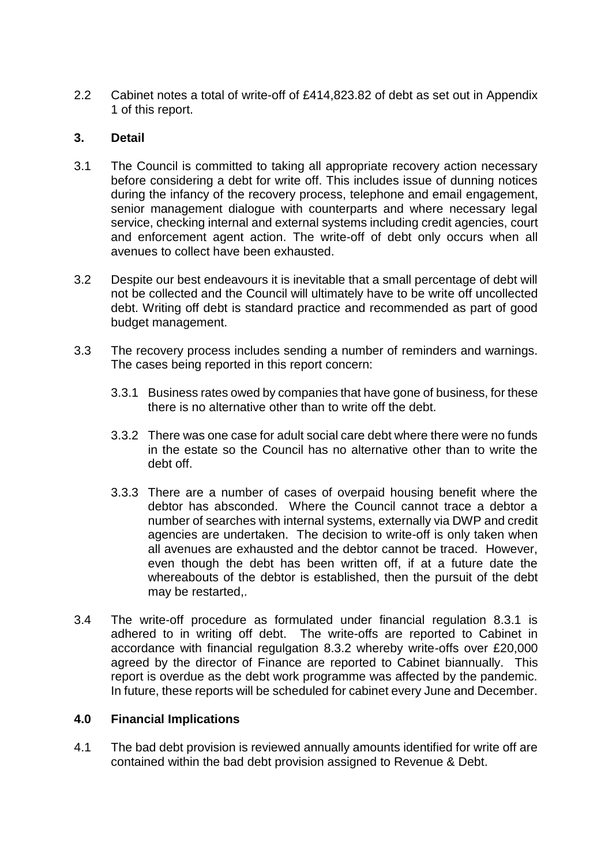2.2 Cabinet notes a total of write-off of £414,823.82 of debt as set out in Appendix 1 of this report.

#### **3. Detail**

- 3.1 The Council is committed to taking all appropriate recovery action necessary before considering a debt for write off. This includes issue of dunning notices during the infancy of the recovery process, telephone and email engagement, senior management dialogue with counterparts and where necessary legal service, checking internal and external systems including credit agencies, court and enforcement agent action. The write-off of debt only occurs when all avenues to collect have been exhausted.
- 3.2 Despite our best endeavours it is inevitable that a small percentage of debt will not be collected and the Council will ultimately have to be write off uncollected debt. Writing off debt is standard practice and recommended as part of good budget management.
- 3.3 The recovery process includes sending a number of reminders and warnings. The cases being reported in this report concern:
	- 3.3.1 Business rates owed by companies that have gone of business, for these there is no alternative other than to write off the debt.
	- 3.3.2 There was one case for adult social care debt where there were no funds in the estate so the Council has no alternative other than to write the debt off.
	- 3.3.3 There are a number of cases of overpaid housing benefit where the debtor has absconded. Where the Council cannot trace a debtor a number of searches with internal systems, externally via DWP and credit agencies are undertaken. The decision to write-off is only taken when all avenues are exhausted and the debtor cannot be traced. However, even though the debt has been written off, if at a future date the whereabouts of the debtor is established, then the pursuit of the debt may be restarted,.
- 3.4 The write-off procedure as formulated under financial regulation 8.3.1 is adhered to in writing off debt. The write-offs are reported to Cabinet in accordance with financial regulgation 8.3.2 whereby write-offs over £20,000 agreed by the director of Finance are reported to Cabinet biannually. This report is overdue as the debt work programme was affected by the pandemic. In future, these reports will be scheduled for cabinet every June and December.

#### **4.0 Financial Implications**

4.1 The bad debt provision is reviewed annually amounts identified for write off are contained within the bad debt provision assigned to Revenue & Debt.